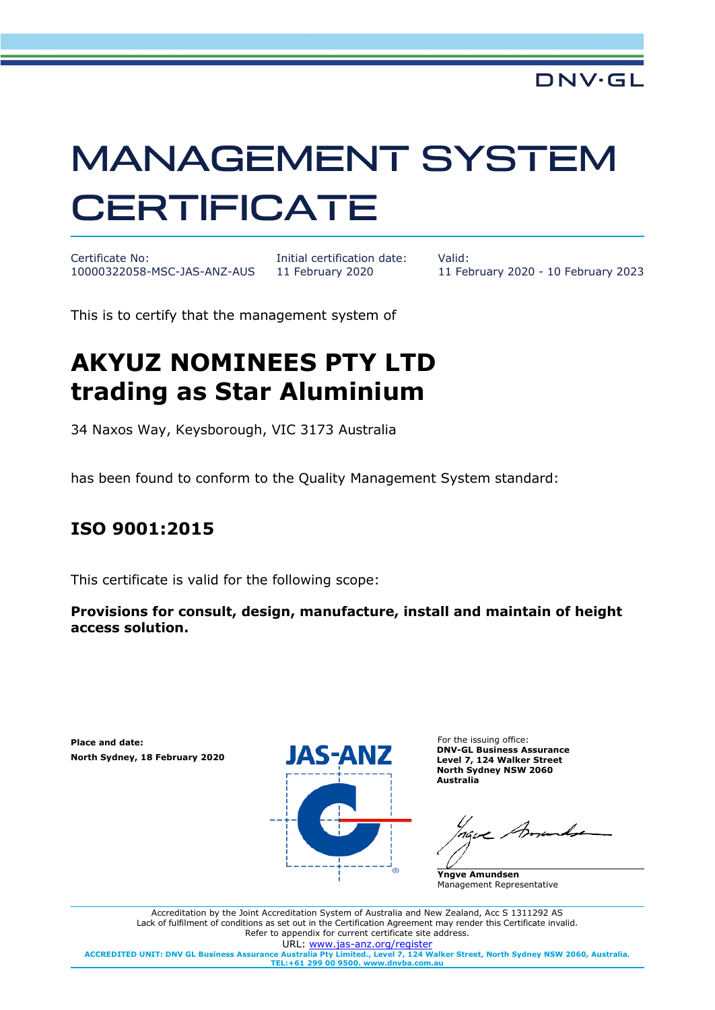## MANAGEMENT SYSTEM **CERTIFICATE**

Certificate No: 10000322058-MSC-JAS-ANZ-AUS Initial certification date: 11 February 2020

Valid: 11 February 2020 - 10 February 2023

This is to certify that the management system of

## **AKYUZ NOMINEES PTY LTD trading as Star Aluminium**

34 Naxos Way, Keysborough, VIC 3173 Australia

has been found to conform to the Quality Management System standard:

## **ISO 9001:2015**

This certificate is valid for the following scope:

**Provisions for consult, design, manufacture, install and maintain of height access solution.**

**Place and date: North Sydney, 18 February 2020**



For the issuing office: **DNV-GL Business Assurance Level 7, 124 Walker Street North Sydney NSW 2060 Australia**

**Yngve Amundsen** Management Representative

Accreditation by the Joint Accreditation System of Australia and New Zealand, Acc S 1311292 AS Lack of fulfilment of conditions as set out in the Certification Agreement may render this Certificate invalid. Refer to appendix for current certificate site address. URL: [www.jas-anz.org/register](http://www.jas-anz.org/register) **ACCREDITED UNIT: DNV GL Business Assurance Australia Pty Limited., Level 7, 124 Walker Street, North Sydney NSW 2060, Australia. TEL:+61 299 00 9500. www.dnvba.com.au**